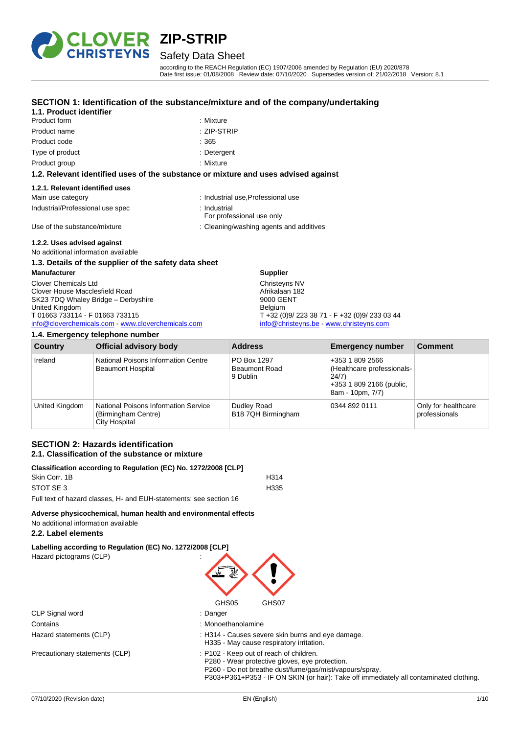

# Safety Data Sheet

according to the REACH Regulation (EC) 1907/2006 amended by Regulation (EU) 2020/878 Date first issue: 01/08/2008 Review date: 07/10/2020 Supersedes version of: 21/02/2018 Version: 8.1

### **SECTION 1: Identification of the substance/mixture and of the company/undertaking**

### **1.1. Product identifier**

| Product form    | : Mix |
|-----------------|-------|
| Product name    | :ZIP  |
| Product code    | :365  |
| Type of product | :Det  |
|                 |       |

: Mixture Product name : ZIP-STRIP

- : Detergent
- Product group **: Mixture** : Mixture

#### **1.2. Relevant identified uses of the substance or mixture and uses advised against**

#### **1.2.1. Relevant identified uses**

| Main use category                | : Industrial use, Professional use        |
|----------------------------------|-------------------------------------------|
| Industrial/Professional use spec | ∴ Industrial<br>For professional use only |
| Use of the substance/mixture     | : Cleaning/washing agents and additives   |

### **1.2.2. Uses advised against**

No additional information available

# **1.3. Details of the supplier of the safety data sheet**

**Manufacturer** Clover Chemicals Ltd Clover House Macclesfield Road SK23 7DQ Whaley Bridge – Derbyshire United Kingdom T 01663 733114 - F 01663 733115 [info@cloverchemicals.com](mailto:info@cloverchemicals.com) - [www.cloverchemicals.com](http://www.cloverchemicals.com/)

#### **1.4. Emergency telephone number**

Afrikalaan 182 9000 GENT Belgium T +32 (0)9/ 223 38 71 - F +32 (0)9/ 233 03 44 [info@christeyns.be](mailto:info@christeyns.be) - [www.christeyns.com](http://www.christeyns.com/)

| Country        | Official advisory body                                                              | <b>Address</b>                                  | <b>Emergency number</b>                                                                                | <b>Comment</b>                       |
|----------------|-------------------------------------------------------------------------------------|-------------------------------------------------|--------------------------------------------------------------------------------------------------------|--------------------------------------|
| Ireland        | National Poisons Information Centre<br><b>Beaumont Hospital</b>                     | PO Box 1297<br><b>Beaumont Road</b><br>9 Dublin | +353 1 809 2566<br>(Healthcare professionals-<br>24/7)<br>+353 1 809 2166 (public,<br>8am - 10pm, 7/7) |                                      |
| United Kingdom | <b>National Poisons Information Service</b><br>(Birmingham Centre)<br>City Hospital | Dudley Road<br>B18 7QH Birmingham               | 0344 892 0111                                                                                          | Only for healthcare<br>professionals |

**Supplier** Christeyns NV

### **SECTION 2: Hazards identification 2.1. Classification of the substance or mixture**

| Classification according to Regulation (EC) No. 1272/2008 [CLP]    |      |
|--------------------------------------------------------------------|------|
| Skin Corr. 1B                                                      | H314 |
| STOT SE 3                                                          | H335 |
| Full text of hazard classes, H- and EUH-statements: see section 16 |      |

#### **Adverse physicochemical, human health and environmental effects**

No additional information available

#### **2.2. Label elements**

**Labelling according to Regulation (EC) No. 1272/2008 [CLP]** Hazard pictograms (CLP) :

| CLP Signal word         | : Danger            |
|-------------------------|---------------------|
| Contains                | : Monoethanolamine  |
| Hazard statements (CLP) | : H314 - Causes sev |

Precautionary statements (CLP) : P102 - Keep out of reach of children.



- 
- 
- Hazard statements (CLP) : H314 Causes severe skin burns and eye damage.
	- H335 May cause respiratory irritation.
		-

P280 - Wear protective gloves, eye protection. P260 - Do not breathe dust/fume/gas/mist/vapours/spray.

P303+P361+P353 - IF ON SKIN (or hair): Take off immediately all contaminated clothing.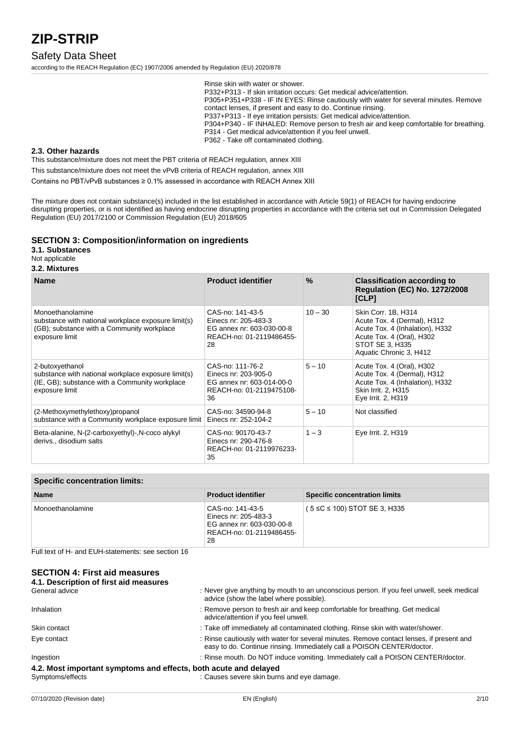### Safety Data Sheet

according to the REACH Regulation (EC) 1907/2006 amended by Regulation (EU) 2020/878

Rinse skin with water or shower. P332+P313 - If skin irritation occurs: Get medical advice/attention. P305+P351+P338 - IF IN EYES: Rinse cautiously with water for several minutes. Remove contact lenses, if present and easy to do. Continue rinsing. P337+P313 - If eye irritation persists: Get medical advice/attention. P304+P340 - IF INHALED: Remove person to fresh air and keep comfortable for breathing. P314 - Get medical advice/attention if you feel unwell. P362 - Take off contaminated clothing.

#### **2.3. Other hazards**

This substance/mixture does not meet the PBT criteria of REACH regulation, annex XIII

This substance/mixture does not meet the vPvB criteria of REACH regulation, annex XIII

Contains no PBT/vPvB substances ≥ 0.1% assessed in accordance with REACH Annex XIII

The mixture does not contain substance(s) included in the list established in accordance with Article 59(1) of REACH for having endocrine disrupting properties, or is not identified as having endocrine disrupting properties in accordance with the criteria set out in Commission Delegated Regulation (EU) 2017/2100 or Commission Regulation (EU) 2018/605

#### **SECTION 3: Composition/information on ingredients**

**3.1. Substances** Not applicable

**3.2. Mixtures**

| <b>Name</b>                                                                                                                                | <b>Product identifier</b>                                                                               | $\%$      | <b>Classification according to</b><br><b>Regulation (EC) No. 1272/2008</b><br>[CLP]                                                                              |
|--------------------------------------------------------------------------------------------------------------------------------------------|---------------------------------------------------------------------------------------------------------|-----------|------------------------------------------------------------------------------------------------------------------------------------------------------------------|
| Monoethanolamine<br>substance with national workplace exposure limit(s)<br>(GB); substance with a Community workplace<br>exposure limit    | CAS-no: 141-43-5<br>Einecs nr: 205-483-3<br>EG annex nr: 603-030-00-8<br>REACH-no: 01-2119486455-<br>28 | $10 - 30$ | Skin Corr. 1B, H314<br>Acute Tox. 4 (Dermal), H312<br>Acute Tox. 4 (Inhalation), H332<br>Acute Tox. 4 (Oral), H302<br>STOT SE 3, H335<br>Aquatic Chronic 3, H412 |
| 2-butoxyethanol<br>substance with national workplace exposure limit(s)<br>(IE, GB); substance with a Community workplace<br>exposure limit | CAS-no: 111-76-2<br>Einecs nr: 203-905-0<br>EG annex nr: 603-014-00-0<br>REACH-no: 01-2119475108-<br>36 | $5 - 10$  | Acute Tox. 4 (Oral), H302<br>Acute Tox. 4 (Dermal), H312<br>Acute Tox. 4 (Inhalation), H332<br>Skin Irrit. 2, H315<br>Eye Irrit. 2, H319                         |
| (2-Methoxymethylethoxy)propanol<br>substance with a Community workplace exposure limit                                                     | CAS-no: 34590-94-8<br>Einecs nr: 252-104-2                                                              | $5 - 10$  | Not classified                                                                                                                                                   |
| Beta-alanine, N-(2-carboxyethyl)-, N-coco alykyl<br>derivs., disodium salts                                                                | CAS-no: 90170-43-7<br>Einecs nr: 290-476-8<br>REACH-no: 01-2119976233-<br>35                            | $1 - 3$   | Eye Irrit. 2, H319                                                                                                                                               |

| <b>Specific concentration limits:</b> |                                                                                                         |                                      |
|---------------------------------------|---------------------------------------------------------------------------------------------------------|--------------------------------------|
| <b>Name</b>                           | <b>Product identifier</b>                                                                               | <b>Specific concentration limits</b> |
| Monoethanolamine                      | CAS-no: 141-43-5<br>Einecs nr: 205-483-3<br>EG annex nr: 603-030-00-8<br>REACH-no: 01-2119486455-<br>28 | $(5 \le C \le 100)$ STOT SE 3, H335  |

Full text of H- and EUH-statements: see section 16

#### **SECTION 4: First aid measures 4.1. Description of first aid measures**

| 4. I. Description of hist ald ineasures                          |                                                                                                                                                                    |
|------------------------------------------------------------------|--------------------------------------------------------------------------------------------------------------------------------------------------------------------|
| General advice                                                   | : Never give anything by mouth to an unconscious person. If you feel unwell, seek medical<br>advice (show the label where possible).                               |
| Inhalation                                                       | : Remove person to fresh air and keep comfortable for breathing. Get medical<br>advice/attention if you feel unwell.                                               |
| Skin contact                                                     | : Take off immediately all contaminated clothing. Rinse skin with water/shower.                                                                                    |
| Eye contact                                                      | : Rinse cautiously with water for several minutes. Remove contact lenses, if present and<br>easy to do. Continue rinsing. Immediately call a POISON CENTER/doctor. |
| Ingestion                                                        | : Rinse mouth. Do NOT induce vomiting. Immediately call a POISON CENTER/doctor.                                                                                    |
| 4.2. Most important symptoms and effects, both acute and delayed |                                                                                                                                                                    |
| Symptoms/effects                                                 | : Causes severe skin burns and eye damage.                                                                                                                         |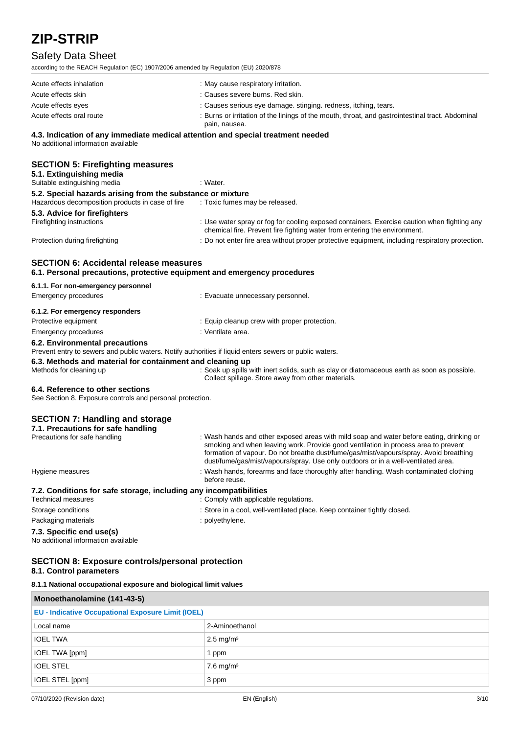# Safety Data Sheet

| according to the REACH Regulation (EC) 1907/2006 amended by Regulation (EU) 2020/878                                   |                                                                                                                   |  |
|------------------------------------------------------------------------------------------------------------------------|-------------------------------------------------------------------------------------------------------------------|--|
| Acute effects inhalation                                                                                               | : May cause respiratory irritation.                                                                               |  |
| Acute effects skin                                                                                                     | : Causes severe burns. Red skin.                                                                                  |  |
| Acute effects eyes                                                                                                     | : Causes serious eye damage. stinging. redness, itching, tears.                                                   |  |
| Acute effects oral route                                                                                               | : Burns or irritation of the linings of the mouth, throat, and gastrointestinal tract. Abdominal<br>pain, nausea. |  |
| 4.3. Indication of any immediate medical attention and special treatment needed<br>No additional information available |                                                                                                                   |  |
| <b>SECTION 5: Firefighting measures</b><br>5.1. Extinguishing media                                                    |                                                                                                                   |  |
| Suitable extinguishing media                                                                                           | : Water.                                                                                                          |  |

| 5.2. Special hazards arising from the substance or mixture |                                                                                                                                                                          |  |
|------------------------------------------------------------|--------------------------------------------------------------------------------------------------------------------------------------------------------------------------|--|
| Hazardous decomposition products in case of fire           | : Toxic fumes may be released.                                                                                                                                           |  |
| 5.3. Advice for firefighters                               |                                                                                                                                                                          |  |
| Firefighting instructions                                  | : Use water spray or fog for cooling exposed containers. Exercise caution when fighting any<br>chemical fire. Prevent fire fighting water from entering the environment. |  |
| Protection during firefighting                             | : Do not enter fire area without proper protective equipment, including respiratory protection.                                                                          |  |

# **SECTION 6: Accidental release measures**

**6.1. Personal precautions, protective equipment and emergency procedures**

### **6.1.1. For non-emergency personnel**

| Emergency procedures            | : Evacuate unnecessary personnel.            |  |
|---------------------------------|----------------------------------------------|--|
| 6.1.2. For emergency responders |                                              |  |
| Protective equipment            | : Equip cleanup crew with proper protection. |  |
| Emergency procedures            | : Ventilate area.                            |  |
|                                 |                                              |  |

### **6.2. Environmental precautions**

Prevent entry to sewers and public waters. Notify authorities if liquid enters sewers or public waters.

# **6.3. Methods and material for containment and cleaning up**<br>Methods for cleaning up **containment** and cleaning up : Soak up spills w

: Soak up spills with inert solids, such as clay or diatomaceous earth as soon as possible. Collect spillage. Store away from other materials.

### **6.4. Reference to other sections**

See Section 8. Exposure controls and personal protection.

### **SECTION 7: Handling and storage**

| 7.1. Precautions for safe handling                                |                                                                                                                                                                                                                                                                                                                                                              |
|-------------------------------------------------------------------|--------------------------------------------------------------------------------------------------------------------------------------------------------------------------------------------------------------------------------------------------------------------------------------------------------------------------------------------------------------|
| Precautions for safe handling                                     | : Wash hands and other exposed areas with mild soap and water before eating, drinking or<br>smoking and when leaving work. Provide good ventilation in process area to prevent<br>formation of vapour. Do not breathe dust/fume/gas/mist/vapours/spray. Avoid breathing<br>dust/fume/gas/mist/vapours/spray. Use only outdoors or in a well-ventilated area. |
| Hygiene measures                                                  | : Wash hands, forearms and face thoroughly after handling. Wash contaminated clothing<br>before reuse.                                                                                                                                                                                                                                                       |
| 7.2. Conditions for safe storage, including any incompatibilities |                                                                                                                                                                                                                                                                                                                                                              |
| Technical measures                                                | : Comply with applicable regulations.                                                                                                                                                                                                                                                                                                                        |
| Storage conditions                                                | : Store in a cool, well-ventilated place. Keep container tightly closed.                                                                                                                                                                                                                                                                                     |

Packaging materials **Example 20** is polyethylene.

# **7.3. Specific end use(s)**

No additional information available

#### **SECTION 8: Exposure controls/personal protection 8.1. Control parameters**

**8.1.1 National occupational exposure and biological limit values**

| Monoethanolamine (141-43-5)                               |                         |  |
|-----------------------------------------------------------|-------------------------|--|
| <b>EU - Indicative Occupational Exposure Limit (IOEL)</b> |                         |  |
| Local name                                                | 2-Aminoethanol          |  |
| <b>IOEL TWA</b>                                           | $2.5 \text{ mg/m}^3$    |  |
| <b>IOEL TWA [ppm]</b>                                     | 1 ppm                   |  |
| <b>IOEL STEL</b>                                          | $7.6$ mg/m <sup>3</sup> |  |
| IOEL STEL [ppm]                                           | 3 ppm                   |  |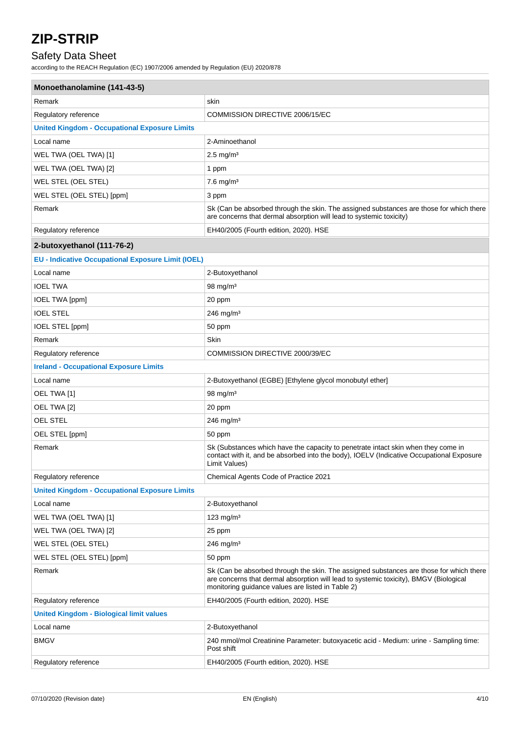# Safety Data Sheet

according to the REACH Regulation (EC) 1907/2006 amended by Regulation (EU) 2020/878

| Monoethanolamine (141-43-5)                               |                                                                                                                                                                                                                                       |  |
|-----------------------------------------------------------|---------------------------------------------------------------------------------------------------------------------------------------------------------------------------------------------------------------------------------------|--|
| Remark                                                    | skin                                                                                                                                                                                                                                  |  |
| Regulatory reference                                      | COMMISSION DIRECTIVE 2006/15/EC                                                                                                                                                                                                       |  |
| <b>United Kingdom - Occupational Exposure Limits</b>      |                                                                                                                                                                                                                                       |  |
| Local name                                                | 2-Aminoethanol                                                                                                                                                                                                                        |  |
| WEL TWA (OEL TWA) [1]                                     | $2.5$ mg/m <sup>3</sup>                                                                                                                                                                                                               |  |
| WEL TWA (OEL TWA) [2]                                     | 1 ppm                                                                                                                                                                                                                                 |  |
| WEL STEL (OEL STEL)                                       | $7.6$ mg/m <sup>3</sup>                                                                                                                                                                                                               |  |
| WEL STEL (OEL STEL) [ppm]                                 | 3 ppm                                                                                                                                                                                                                                 |  |
| Remark                                                    | Sk (Can be absorbed through the skin. The assigned substances are those for which there<br>are concerns that dermal absorption will lead to systemic toxicity)                                                                        |  |
| Regulatory reference                                      | EH40/2005 (Fourth edition, 2020). HSE                                                                                                                                                                                                 |  |
| 2-butoxyethanol (111-76-2)                                |                                                                                                                                                                                                                                       |  |
| <b>EU - Indicative Occupational Exposure Limit (IOEL)</b> |                                                                                                                                                                                                                                       |  |
| Local name                                                | 2-Butoxyethanol                                                                                                                                                                                                                       |  |
| <b>IOEL TWA</b>                                           | 98 mg/m <sup>3</sup>                                                                                                                                                                                                                  |  |
| <b>IOEL TWA [ppm]</b>                                     | 20 ppm                                                                                                                                                                                                                                |  |
| <b>IOEL STEL</b>                                          | 246 mg/m <sup>3</sup>                                                                                                                                                                                                                 |  |
| IOEL STEL [ppm]                                           | 50 ppm                                                                                                                                                                                                                                |  |
| Remark                                                    | Skin                                                                                                                                                                                                                                  |  |
| Regulatory reference                                      | COMMISSION DIRECTIVE 2000/39/EC                                                                                                                                                                                                       |  |
| <b>Ireland - Occupational Exposure Limits</b>             |                                                                                                                                                                                                                                       |  |
| Local name                                                | 2-Butoxyethanol (EGBE) [Ethylene glycol monobutyl ether]                                                                                                                                                                              |  |
| OEL TWA [1]                                               | 98 mg/m <sup>3</sup>                                                                                                                                                                                                                  |  |
| OEL TWA [2]                                               | 20 ppm                                                                                                                                                                                                                                |  |
| <b>OEL STEL</b>                                           | $246 \; mg/m3$                                                                                                                                                                                                                        |  |
| OEL STEL [ppm]                                            | 50 ppm                                                                                                                                                                                                                                |  |
| Remark                                                    | Sk (Substances which have the capacity to penetrate intact skin when they come in<br>contact with it, and be absorbed into the body), IOELV (Indicative Occupational Exposure<br>Limit Values)                                        |  |
| Regulatory reference                                      | Chemical Agents Code of Practice 2021                                                                                                                                                                                                 |  |
| <b>United Kingdom - Occupational Exposure Limits</b>      |                                                                                                                                                                                                                                       |  |
| Local name                                                | 2-Butoxyethanol                                                                                                                                                                                                                       |  |
| WEL TWA (OEL TWA) [1]                                     | 123 mg/m $3$                                                                                                                                                                                                                          |  |
| WEL TWA (OEL TWA) [2]                                     | 25 ppm                                                                                                                                                                                                                                |  |
| WEL STEL (OEL STEL)                                       | 246 mg/m $3$                                                                                                                                                                                                                          |  |
| WEL STEL (OEL STEL) [ppm]                                 | 50 ppm                                                                                                                                                                                                                                |  |
| Remark                                                    | Sk (Can be absorbed through the skin. The assigned substances are those for which there<br>are concerns that dermal absorption will lead to systemic toxicity), BMGV (Biological<br>monitoring guidance values are listed in Table 2) |  |
| Regulatory reference                                      | EH40/2005 (Fourth edition, 2020). HSE                                                                                                                                                                                                 |  |
| <b>United Kingdom - Biological limit values</b>           |                                                                                                                                                                                                                                       |  |
| Local name                                                | 2-Butoxyethanol                                                                                                                                                                                                                       |  |
| <b>BMGV</b>                                               | 240 mmol/mol Creatinine Parameter: butoxyacetic acid - Medium: urine - Sampling time:<br>Post shift                                                                                                                                   |  |
| Regulatory reference                                      | EH40/2005 (Fourth edition, 2020). HSE                                                                                                                                                                                                 |  |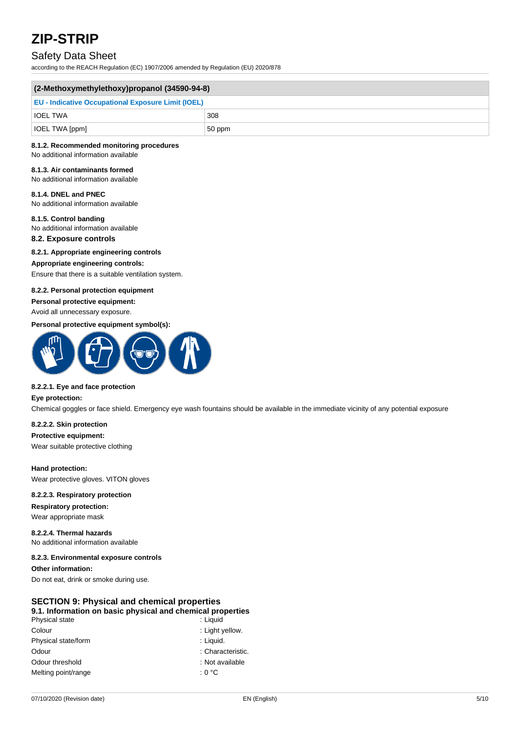# Safety Data Sheet

according to the REACH Regulation (EC) 1907/2006 amended by Regulation (EU) 2020/878

| $(2-Methoxymethylethoxy)$ propanol $(34590-94-8)$         |        |
|-----------------------------------------------------------|--------|
| <b>EU - Indicative Occupational Exposure Limit (IOEL)</b> |        |
| <b>IOEL TWA</b>                                           | 308    |
| $\vert$ IOEL TWA [ppm]                                    | 50 ppm |

#### **8.1.2. Recommended monitoring procedures**

No additional information available

#### **8.1.3. Air contaminants formed**

No additional information available

**8.1.4. DNEL and PNEC** No additional information available

**8.1.5. Control banding** No additional information available

# **8.2. Exposure controls**

#### **8.2.1. Appropriate engineering controls**

#### **Appropriate engineering controls:**

Ensure that there is a suitable ventilation system.

#### **8.2.2. Personal protection equipment**

**Personal protective equipment:**

Avoid all unnecessary exposure.

#### **Personal protective equipment symbol(s):**



#### **8.2.2.1. Eye and face protection**

**Eye protection:**

Chemical goggles or face shield. Emergency eye wash fountains should be available in the immediate vicinity of any potential exposure

### **8.2.2.2. Skin protection**

**Protective equipment:**

Wear suitable protective clothing

#### **Hand protection:**

Wear protective gloves. VITON gloves

#### **8.2.2.3. Respiratory protection**

**Respiratory protection:** Wear appropriate mask

**8.2.2.4. Thermal hazards** No additional information available

#### **8.2.3. Environmental exposure controls**

**Other information:** Do not eat, drink or smoke during use.

#### **SECTION 9: Physical and chemical properties 9.1. Information on basic physical and chemical properties**

| Physical state      | : Liguid          |
|---------------------|-------------------|
| Colour              | : Light yellow.   |
| Physical state/form | : Liguid.         |
| Odour               | : Characteristic. |
| Odour threshold     | : Not available   |
| Melting point/range | : 0 °C            |
|                     |                   |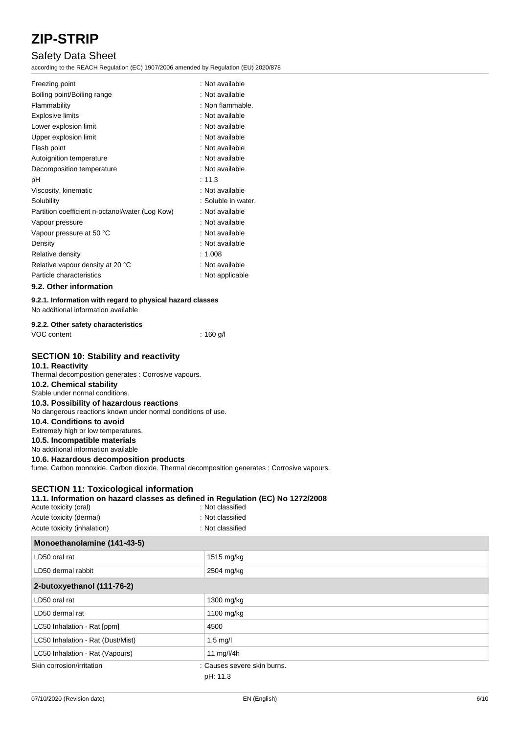# Safety Data Sheet

according to the REACH Regulation (EC) 1907/2006 amended by Regulation (EU) 2020/878

| Freezing point                                                                                                                                                                                                                 | : Not available     |
|--------------------------------------------------------------------------------------------------------------------------------------------------------------------------------------------------------------------------------|---------------------|
| Boiling point/Boiling range                                                                                                                                                                                                    | : Not available     |
| Flammability                                                                                                                                                                                                                   | : Non flammable.    |
| <b>Explosive limits</b>                                                                                                                                                                                                        | : Not available     |
| Lower explosion limit                                                                                                                                                                                                          | : Not available     |
| Upper explosion limit                                                                                                                                                                                                          | : Not available     |
| Flash point                                                                                                                                                                                                                    | : Not available     |
| Autoignition temperature                                                                                                                                                                                                       | : Not available     |
| Decomposition temperature                                                                                                                                                                                                      | : Not available     |
| рH                                                                                                                                                                                                                             | : 11.3              |
| Viscosity, kinematic                                                                                                                                                                                                           | : Not available     |
| Solubility                                                                                                                                                                                                                     | : Soluble in water. |
| Partition coefficient n-octanol/water (Log Kow)                                                                                                                                                                                | : Not available     |
| Vapour pressure                                                                                                                                                                                                                | : Not available     |
| Vapour pressure at 50 °C                                                                                                                                                                                                       | : Not available     |
| Density                                                                                                                                                                                                                        | : Not available     |
| Relative density                                                                                                                                                                                                               | : 1.008             |
| Relative vapour density at 20 °C                                                                                                                                                                                               | : Not available     |
| Particle characteristics                                                                                                                                                                                                       | : Not applicable    |
| $0.0.01$ $0.01$ $0.000$ $0.000$ $0.000$ $0.000$ $0.000$ $0.000$ $0.000$ $0.000$ $0.000$ $0.000$ $0.000$ $0.000$ $0.000$ $0.000$ $0.000$ $0.000$ $0.000$ $0.000$ $0.000$ $0.000$ $0.000$ $0.000$ $0.000$ $0.000$ $0.000$ $0.00$ |                     |

### **9.2. Other information**

# **9.2.1. Information with regard to physical hazard classes**

No additional information available

| 9.2.2. Other safety characteristics |           |
|-------------------------------------|-----------|
| VOC content                         | : 160 g/l |

## **SECTION 10: Stability and reactivity**

### **10.1. Reactivity**

Thermal decomposition generates : Corrosive vapours. **10.2. Chemical stability** Stable under normal conditions. **10.3. Possibility of hazardous reactions** No dangerous reactions known under normal conditions of use. **10.4. Conditions to avoid** Extremely high or low temperatures.

**10.5. Incompatible materials**

No additional information available

### **10.6. Hazardous decomposition products**

fume. Carbon monoxide. Carbon dioxide. Thermal decomposition generates : Corrosive vapours.

# **SECTION 11: Toxicological information**

| Menesthenelemine $(4.44, 42.5)$                                                |                  |
|--------------------------------------------------------------------------------|------------------|
| Acute toxicity (inhalation)                                                    | : Not classified |
| Acute toxicity (dermal)                                                        | : Not classified |
| : Not classified<br>Acute toxicity (oral)                                      |                  |
| 11.1. Information on hazard classes as defined in Regulation (EC) No 1272/2008 |                  |

| Monoethanolamine (141-43-5)       |                             |
|-----------------------------------|-----------------------------|
| LD50 oral rat                     | 1515 mg/kg                  |
| LD50 dermal rabbit                | 2504 mg/kg                  |
| 2-butoxyethanol (111-76-2)        |                             |
| LD50 oral rat                     | 1300 mg/kg                  |
| LD50 dermal rat                   | 1100 mg/kg                  |
| LC50 Inhalation - Rat [ppm]       | 4500                        |
| LC50 Inhalation - Rat (Dust/Mist) | $1.5$ mg/l                  |
| LC50 Inhalation - Rat (Vapours)   | 11 mg/l/4h                  |
| Skin corrosion/irritation         | : Causes severe skin burns. |
|                                   | pH: 11.3                    |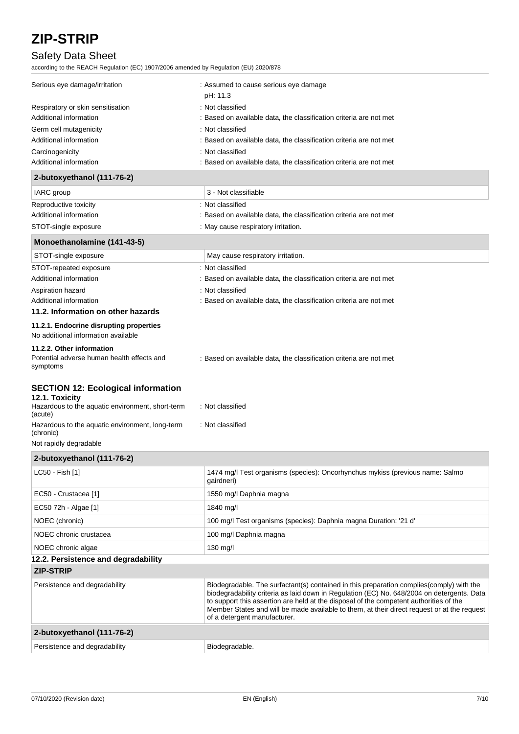# Safety Data Sheet

according to the REACH Regulation (EC) 1907/2006 amended by Regulation (EU) 2020/878

| Serious eye damage/irritation     | : Assumed to cause serious eye damage<br>pH: 11.3                  |  |
|-----------------------------------|--------------------------------------------------------------------|--|
| Respiratory or skin sensitisation | : Not classified                                                   |  |
| Additional information            | : Based on available data, the classification criteria are not met |  |
| Germ cell mutagenicity            | : Not classified                                                   |  |
| Additional information            | : Based on available data, the classification criteria are not met |  |
| Carcinogenicity                   | : Not classified                                                   |  |
| Additional information            | : Based on available data, the classification criteria are not met |  |

### **2-butoxyethanol (111-76-2)**

| <b>IARC</b> group      | 3 - Not classifiable                                               |
|------------------------|--------------------------------------------------------------------|
| Reproductive toxicity  | : Not classified                                                   |
| Additional information | : Based on available data, the classification criteria are not met |
| STOT-single exposure   | : May cause respiratory irritation.                                |

### **Monoethanolamine (141-43-5)**

| STOT-single exposure                                                           | May cause respiratory irritation.                                  |  |
|--------------------------------------------------------------------------------|--------------------------------------------------------------------|--|
| STOT-repeated exposure                                                         | : Not classified                                                   |  |
| Additional information                                                         | : Based on available data, the classification criteria are not met |  |
| Aspiration hazard                                                              | : Not classified                                                   |  |
| Additional information                                                         | : Based on available data, the classification criteria are not met |  |
| 11.2. Information on other hazards                                             |                                                                    |  |
| 11.2.1. Endocrine disrupting properties<br>No additional information available |                                                                    |  |
| 11.2.2. Other information                                                      |                                                                    |  |
| Potential adverse human health effects and<br>symptoms                         | : Based on available data, the classification criteria are not met |  |

### **SECTION 12: Ecological information**

| 12.1. Toxicity                                               |                  |
|--------------------------------------------------------------|------------------|
| Hazardous to the aquatic environment, short-term<br>(acute)  | : Not classified |
| Hazardous to the aquatic environment, long-term<br>(chronic) | : Not classified |
| Not rapidly dogradable                                       |                  |

### Not rapidly degradable

| 2-butoxyethanol (111-76-2)          |                                                                                                                                                                                                                                                                                                                                                                                                                  |
|-------------------------------------|------------------------------------------------------------------------------------------------------------------------------------------------------------------------------------------------------------------------------------------------------------------------------------------------------------------------------------------------------------------------------------------------------------------|
| LC50 - Fish [1]                     | 1474 mg/l Test organisms (species): Oncorhynchus mykiss (previous name: Salmo<br>gairdneri)                                                                                                                                                                                                                                                                                                                      |
| EC50 - Crustacea [1]                | 1550 mg/l Daphnia magna                                                                                                                                                                                                                                                                                                                                                                                          |
| EC50 72h - Algae [1]                | 1840 mg/l                                                                                                                                                                                                                                                                                                                                                                                                        |
| NOEC (chronic)                      | 100 mg/l Test organisms (species): Daphnia magna Duration: '21 d'                                                                                                                                                                                                                                                                                                                                                |
| NOEC chronic crustacea              | 100 mg/l Daphnia magna                                                                                                                                                                                                                                                                                                                                                                                           |
| NOEC chronic algae                  | $130$ mg/l                                                                                                                                                                                                                                                                                                                                                                                                       |
| 12.2. Persistence and degradability |                                                                                                                                                                                                                                                                                                                                                                                                                  |
| <b>ZIP-STRIP</b>                    |                                                                                                                                                                                                                                                                                                                                                                                                                  |
| Persistence and degradability       | Biodegradable. The surfactant(s) contained in this preparation complies (comply) with the<br>biodegradability criteria as laid down in Regulation (EC) No. 648/2004 on detergents. Data<br>to support this assertion are held at the disposal of the competent authorities of the<br>Member States and will be made available to them, at their direct request or at the request<br>of a detergent manufacturer. |
| 2-butoxyethanol (111-76-2)          |                                                                                                                                                                                                                                                                                                                                                                                                                  |
| Persistence and degradability       | Biodegradable.                                                                                                                                                                                                                                                                                                                                                                                                   |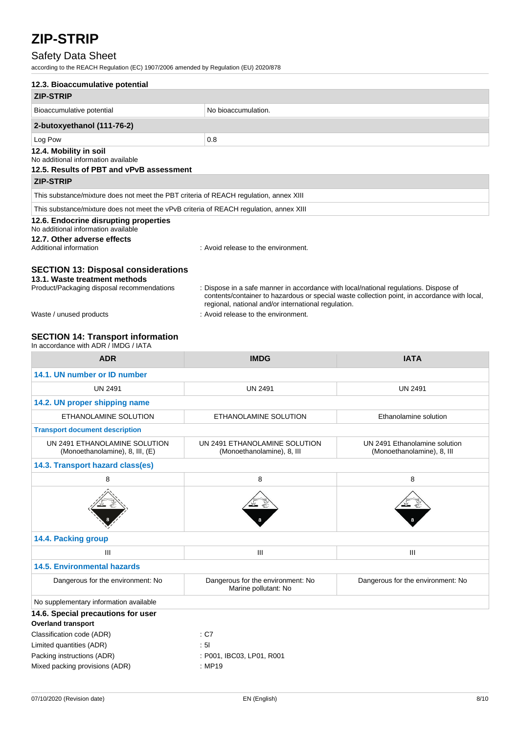# Safety Data Sheet

according to the REACH Regulation (EC) 1907/2006 amended by Regulation (EU) 2020/878

| 12.3. Bioaccumulative potential                                                        |                                                                                                                                                                                                                                             |  |  |
|----------------------------------------------------------------------------------------|---------------------------------------------------------------------------------------------------------------------------------------------------------------------------------------------------------------------------------------------|--|--|
| <b>ZIP-STRIP</b>                                                                       |                                                                                                                                                                                                                                             |  |  |
| Bioaccumulative potential                                                              | No bioaccumulation.                                                                                                                                                                                                                         |  |  |
| 2-butoxyethanol (111-76-2)                                                             |                                                                                                                                                                                                                                             |  |  |
| Log Pow                                                                                | 0.8                                                                                                                                                                                                                                         |  |  |
| 12.4. Mobility in soil<br>No additional information available                          |                                                                                                                                                                                                                                             |  |  |
| 12.5. Results of PBT and vPvB assessment                                               |                                                                                                                                                                                                                                             |  |  |
| <b>ZIP-STRIP</b>                                                                       |                                                                                                                                                                                                                                             |  |  |
| This substance/mixture does not meet the PBT criteria of REACH regulation, annex XIII  |                                                                                                                                                                                                                                             |  |  |
| This substance/mixture does not meet the vPvB criteria of REACH regulation, annex XIII |                                                                                                                                                                                                                                             |  |  |
| 12.6. Endocrine disrupting properties<br>No additional information available           |                                                                                                                                                                                                                                             |  |  |
| 12.7. Other adverse effects<br>Additional information                                  | : Avoid release to the environment.                                                                                                                                                                                                         |  |  |
| <b>SECTION 13: Disposal considerations</b><br>13.1. Waste treatment methods            |                                                                                                                                                                                                                                             |  |  |
| Product/Packaging disposal recommendations                                             | : Dispose in a safe manner in accordance with local/national regulations. Dispose of<br>contents/container to hazardous or special waste collection point, in accordance with local,<br>regional, national and/or international regulation. |  |  |
| Waste / unused products                                                                | : Avoid release to the environment.                                                                                                                                                                                                         |  |  |

# **SECTION 14: Transport information**

| <b>ADR</b>                                                       | <b>IMDG</b>                                                 | <b>IATA</b>                                                 |
|------------------------------------------------------------------|-------------------------------------------------------------|-------------------------------------------------------------|
| 14.1. UN number or ID number                                     |                                                             |                                                             |
| <b>UN 2491</b>                                                   | <b>UN 2491</b>                                              | <b>UN 2491</b>                                              |
| 14.2. UN proper shipping name                                    |                                                             |                                                             |
| ETHANOLAMINE SOLUTION                                            | ETHANOLAMINE SOLUTION                                       | Ethanolamine solution                                       |
| <b>Transport document description</b>                            |                                                             |                                                             |
| UN 2491 ETHANOLAMINE SOLUTION<br>(Monoethanolamine), 8, III, (E) | UN 2491 ETHANOLAMINE SOLUTION<br>(Monoethanolamine), 8, III | UN 2491 Ethanolamine solution<br>(Monoethanolamine), 8, III |
| 14.3. Transport hazard class(es)                                 |                                                             |                                                             |
| 8                                                                | 8                                                           | 8                                                           |
|                                                                  |                                                             |                                                             |
| 14.4. Packing group                                              |                                                             |                                                             |
| $\mathbf{III}$                                                   | III                                                         | III                                                         |
| <b>14.5. Environmental hazards</b>                               |                                                             |                                                             |
| Dangerous for the environment: No                                | Dangerous for the environment: No<br>Marine pollutant: No   | Dangerous for the environment: No                           |
| No supplementary information available                           |                                                             |                                                             |
| 14.6. Special precautions for user                               |                                                             |                                                             |
| <b>Overland transport</b>                                        |                                                             |                                                             |
| Classification code (ADR)                                        | : C7                                                        |                                                             |
| Limited quantities (ADR)                                         | : 51                                                        |                                                             |
| Packing instructions (ADR)                                       | : P001, IBC03, LP01, R001                                   |                                                             |
| Mixed packing provisions (ADR)                                   | : MP19                                                      |                                                             |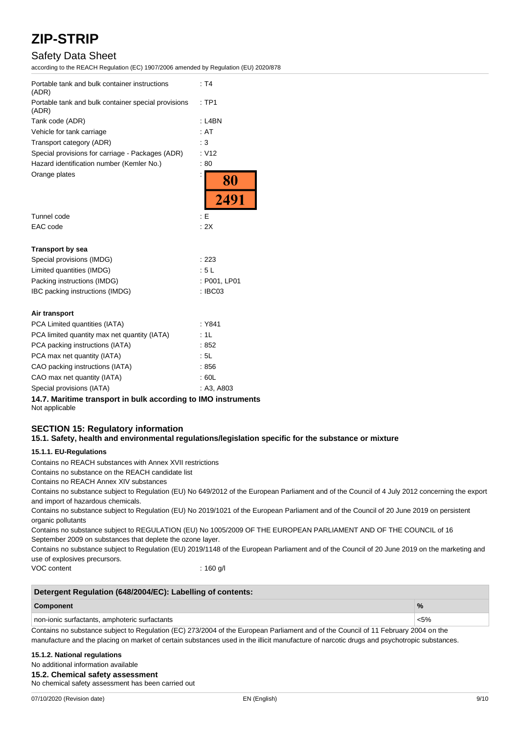# Safety Data Sheet

according to the REACH Regulation (EC) 1907/2006 amended by Regulation (EU) 2020/878

| Portable tank and bulk container instructions<br>(ADR)       | : T4              |  |
|--------------------------------------------------------------|-------------------|--|
| Portable tank and bulk container special provisions<br>(ADR) | :TP1              |  |
| Tank code (ADR)                                              | $:$ L4BN          |  |
| Vehicle for tank carriage                                    | : AT              |  |
| Transport category (ADR)                                     | : 3               |  |
| Special provisions for carriage - Packages (ADR)             | : V12             |  |
| Hazard identification number (Kemler No.)                    | :80               |  |
| Orange plates                                                | $\frac{80}{2491}$ |  |
|                                                              |                   |  |
| Tunnel code                                                  | : E               |  |
| EAC code                                                     | : 2X              |  |
| <b>Transport by sea</b>                                      |                   |  |
| Special provisions (IMDG)                                    | : 223             |  |
| Limited quantities (IMDG)                                    | :5L               |  |
| Packing instructions (IMDG)                                  | : P001, LP01      |  |
| IBC packing instructions (IMDG)                              | : IBC03           |  |
| Air transport                                                |                   |  |
| PCA Limited quantities (IATA)                                | : Y841            |  |
| PCA limited quantity max net quantity (IATA)                 | : 1L              |  |
| PCA packing instructions (IATA)                              | :852              |  |
| PCA max net quantity (IATA)                                  | : 5L              |  |
| CAO packing instructions (IATA)                              | : 856             |  |
| CAO max net quantity (IATA)                                  | : 60L             |  |
| Special provisions (IATA)                                    | : A3, A803        |  |

**14.7. Maritime transport in bulk according to IMO instruments** Not applicable

### **SECTION 15: Regulatory information 15.1. Safety, health and environmental regulations/legislation specific for the substance or mixture**

#### **15.1.1. EU-Regulations**

Contains no REACH substances with Annex XVII restrictions

Contains no substance on the REACH candidate list

Contains no REACH Annex XIV substances

Contains no substance subject to Regulation (EU) No 649/2012 of the European Parliament and of the Council of 4 July 2012 concerning the export and import of hazardous chemicals.

Contains no substance subject to Regulation (EU) No 2019/1021 of the European Parliament and of the Council of 20 June 2019 on persistent organic pollutants

Contains no substance subject to REGULATION (EU) No 1005/2009 OF THE EUROPEAN PARLIAMENT AND OF THE COUNCIL of 16 September 2009 on substances that deplete the ozone layer.

Contains no substance subject to Regulation (EU) 2019/1148 of the European Parliament and of the Council of 20 June 2019 on the marketing and use of explosives precursors.

VOC content : 160 g/l

| Detergent Regulation (648/2004/EC): Labelling of contents: |         |  |
|------------------------------------------------------------|---------|--|
| Component                                                  |         |  |
| non-ionic surfactants, amphoteric surfactants              | $< 5\%$ |  |

Contains no substance subject to Regulation (EC) 273/2004 of the European Parliament and of the Council of 11 February 2004 on the manufacture and the placing on market of certain substances used in the illicit manufacture of narcotic drugs and psychotropic substances.

#### **15.1.2. National regulations**

No additional information available

#### **15.2. Chemical safety assessment**

No chemical safety assessment has been carried out